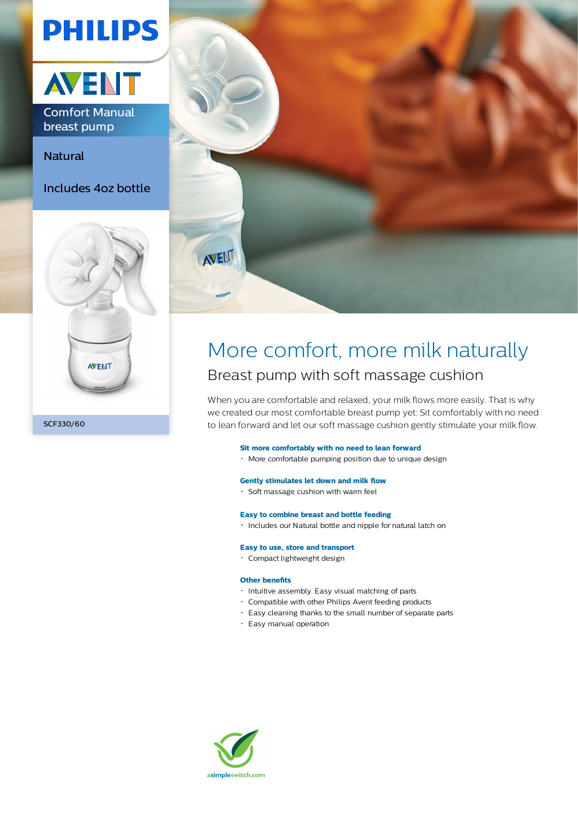# **PHILIPS**



breast pump

Natural

Includes 4oz bottle





# More comfort, more milk naturally Breast pump with soft massage cushion

When you are comfortable and relaxed, your milk flows more easily. That is why we created our most comfortable breast pump yet: Sit comfortably with no need to lean forward and let our soft massage cushion gently stimulate your milk flow.

### **Sit more comfortably with no need to lean forward**

More comfortable pumping position due to unique design

### **Gently stimulates let down and milk flow**

Soft massage cushion with warm feel

### **Easy to combine breast and bottle feeding**

Includes our Natural bottle and nipple for natural latch on

# **Easy to use, store and transport**

Compact lightweight design

# **Other benefits**

- Intuitive assembly. Easy visual matching of parts
- Compatible with other Philips Avent feeding products
- Easy cleaning thanks to the small number of separate parts
- Easy manual operation

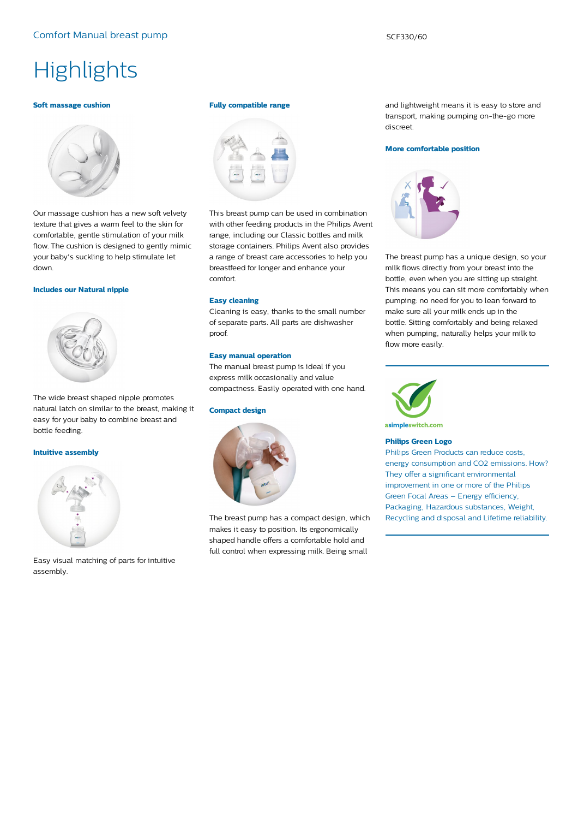# **Highlights**

#### **Soft massage cushion**



Our massage cushion has a new soft velvety texture that gives a warm feel to the skin for comfortable, gentle stimulation of your milk flow. The cushion is designed to gently mimic your baby's suckling to help stimulate let down.

#### **Includes our Natural nipple**



The wide breast shaped nipple promotes natural latch on similar to the breast, making it easy for your baby to combine breast and bottle feeding.

#### **Intuitive assembly**



Easy visual matching of parts for intuitive assembly.

#### **Fully compatible range**



This breast pump can be used in combination with other feeding products in the Philips Avent range, including our Classic bottles and milk storage containers. Philips Avent also provides a range of breast care accessories to help you breastfeed for longer and enhance your comfort.

#### **Easy cleaning**

Cleaning is easy, thanks to the small number of separate parts. All parts are dishwasher proof.

# **Easy manual operation**

The manual breast pump is ideal if you express milk occasionally and value compactness. Easily operated with one hand.

# **Compact design**



The breast pump has a compact design, which makes it easy to position. Its ergonomically shaped handle offers a comfortable hold and full control when expressing milk. Being small

and lightweight means it is easy to store and transport, making pumping on-the-go more discreet.

#### **More comfortable position**



The breast pump has a unique design, so your milk flows directly from your breast into the bottle, even when you are sitting up straight. This means you can sit more comfortably when pumping: no need for you to lean forward to make sure all your milk ends up in the bottle. Sitting comfortably and being relaxed when pumping, naturally helps your milk to flow more easily.



**Philips Green Logo**

Philips Green Products can reduce costs, energy consumption and CO2 emissions. How? They offer a significant environmental improvement in one or more of the Philips Green Focal Areas – Energy efficiency, Packaging, Hazardous substances, Weight, Recycling and disposal and Lifetime reliability.